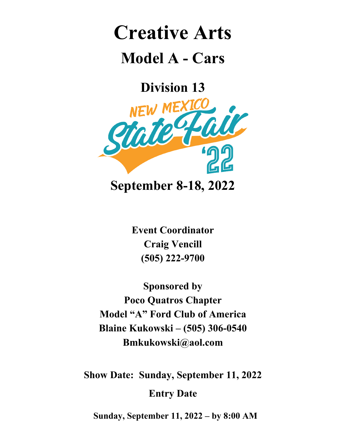## **Creative Arts Model A - Cars**

**Division 13**



**Event Coordinator Craig Vencill (505) 222-9700**

**Sponsored by Poco Quatros Chapter Model "A" Ford Club of America Blaine Kukowski – (505) 306-0540 Bmkukowski@aol.com**

**Show Date: Sunday, September 11, 2022 Entry Date**

**Sunday, September 11, 2022 – by 8:00 AM**